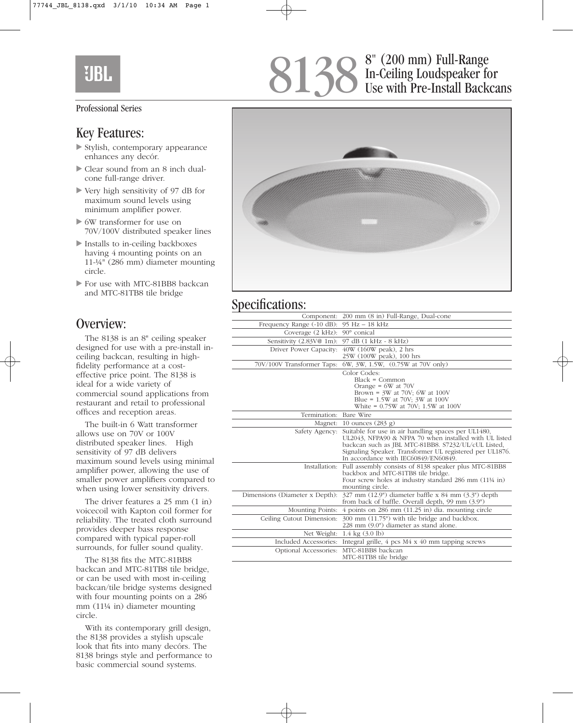# **EIBI**

#### Professional Series

#### Key Features:

- Stylish, contemporary appearance enhances any decór.
- Clear sound from an 8 inch dualcone full-range driver.
- Very high sensitivity of 97 dB for maximum sound levels using minimum amplifier power.
- 6W transformer for use on 70V/100V distributed speaker lines
- Installs to in-ceiling backboxes having 4 mounting points on an 11-¼" (286 mm) diameter mounting circle.
- For use with MTC-81BB8 backcan and MTC-81TB8 tile bridge

#### Overview:

The 8138 is an 8" ceiling speaker designed for use with a pre-install inceiling backcan, resulting in highfidelity performance at a costeffective price point. The 8138 is ideal for a wide variety of commercial sound applications from restaurant and retail to professional offices and reception areas.

The built-in 6 Watt transformer allows use on 70V or 100V distributed speaker lines. High sensitivity of 97 dB delivers maximum sound levels using minimal amplifier power, allowing the use of smaller power amplifiers compared to when using lower sensitivity drivers.

The driver features a 25 mm (1 in) voicecoil with Kapton coil former for reliability. The treated cloth surround provides deeper bass response compared with typical paper-roll surrounds, for fuller sound quality.

The 8138 fits the MTC-81BB8 backcan and MTC-81TB8 tile bridge, or can be used with most in-ceiling backcan/tile bridge systems designed with four mounting points on a 286 mm (11¼ in) diameter mounting circle.

With its contemporary grill design, the 8138 provides a stylish upscale look that fits into many decórs. The 8138 brings style and performance to basic commercial sound systems.

### 8" (200 mm) Full-Range In-Ceiling Loudspeaker for Use with Pre-Install Backcans 8138



# Specifications:

| Component:                     | 200 mm (8 in) Full-Range, Dual-cone                                                                                                                                                                                                                                      |
|--------------------------------|--------------------------------------------------------------------------------------------------------------------------------------------------------------------------------------------------------------------------------------------------------------------------|
| Frequency Range (-10 dB):      | 95 Hz - 18 kHz                                                                                                                                                                                                                                                           |
| Coverage $(2 kHz)$ :           | 90° conical                                                                                                                                                                                                                                                              |
| Sensitivity (2.83V@ 1m):       | 97 dB (1 kHz - 8 kHz)                                                                                                                                                                                                                                                    |
| Driver Power Capacity:         | $40W$ (160W peak), 2 hrs<br>25W (100W peak), 100 hrs                                                                                                                                                                                                                     |
| 70V/100V Transformer Taps:     | 6W, 3W, 1.5W, (0.75W at 70V only)                                                                                                                                                                                                                                        |
|                                | Color Codes:<br>$Black = Common$<br>Orange = $6W$ at $70V$<br>Brown = $3W$ at 70V; 6W at 100V<br>Blue = $1.5W$ at 70V; 3W at 100V<br>White = $0.75W$ at 70V; 1.5W at 100V                                                                                                |
| Termination: Bare Wire         |                                                                                                                                                                                                                                                                          |
| Magnet:                        | 10 ounces $(283 g)$                                                                                                                                                                                                                                                      |
| Safety Agency:                 | Suitable for use in air handling spaces per UL1480,<br>UL2043, NFPA90 & NFPA 70 when installed with UL listed<br>backcan such as JBL MTC-81BB8. S7232/UL/cUL Listed,<br>Signaling Speaker. Transformer UL registered per UL1876.<br>In accordance with IEC60849/EN60849. |
|                                | Installation: Full assembly consists of 8138 speaker plus MTC-81BB8<br>backbox and MTC-81TB8 tile bridge.<br>Four screw holes at industry standard 286 mm (11¼ in)<br>mounting circle.                                                                                   |
| Dimensions (Diameter x Depth): | $327$ mm $(12.9)$ diameter baffle x 84 mm $(3.3)$ <sup>n</sup> depth<br>from back of baffle. Overall depth, 99 mm (3.9")                                                                                                                                                 |
| Mounting Points:               | 4 points on 286 mm (11.25 in) dia. mounting circle                                                                                                                                                                                                                       |
| Ceiling Cutout Dimension:      | 300 mm (11.75") with tile bridge and backbox.<br>228 mm (9.0") diameter as stand alone.                                                                                                                                                                                  |
| Net Weight:                    | $1.4 \text{ kg} (3.0 \text{ lb})$                                                                                                                                                                                                                                        |
| Included Accessories:          | Integral grille, $4$ pcs $M4 \times 40$ mm tapping screws                                                                                                                                                                                                                |
| Optional Accessories:          | MTC-81BB8 backcan<br>MTC-81TB8 tile bridge                                                                                                                                                                                                                               |